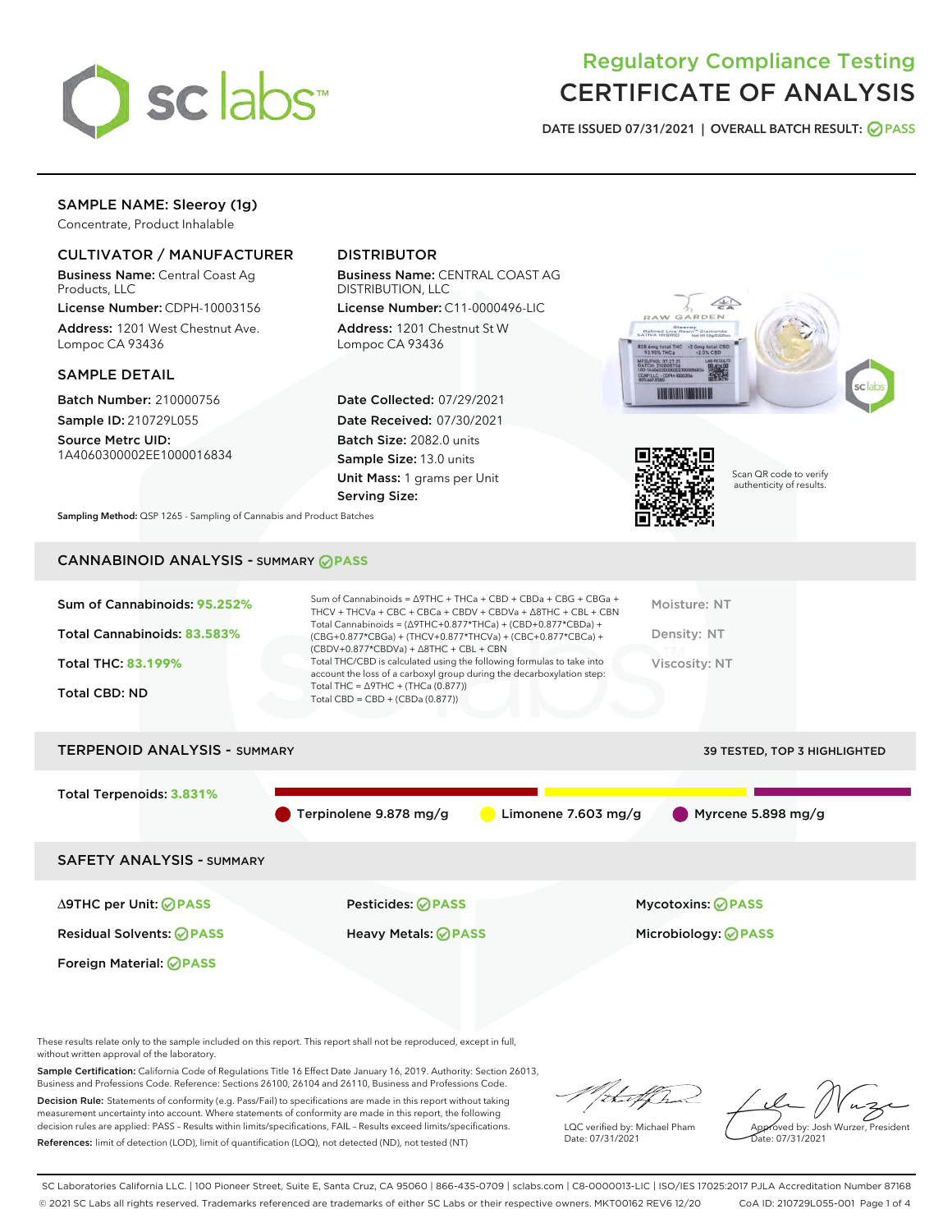

## Regulatory Compliance Testing CERTIFICATE OF ANALYSIS

DATE ISSUED 07/31/2021 | OVERALL BATCH RESULT: @ PASS

## SAMPLE NAME: Sleeroy (1g)

Concentrate, Product Inhalable

## CULTIVATOR / MANUFACTURER

Business Name: Central Coast Ag Products, LLC

License Number: CDPH-10003156 Address: 1201 West Chestnut Ave. Lompoc CA 93436

#### SAMPLE DETAIL

Batch Number: 210000756 Sample ID: 210729L055

Source Metrc UID: 1A4060300002EE1000016834

## DISTRIBUTOR

Business Name: CENTRAL COAST AG DISTRIBUTION, LLC License Number: C11-0000496-LIC

Address: 1201 Chestnut St W Lompoc CA 93436

Date Collected: 07/29/2021 Date Received: 07/30/2021 Batch Size: 2082.0 units Sample Size: 13.0 units Unit Mass: 1 grams per Unit Serving Size:





Scan QR code to verify authenticity of results.

Sampling Method: QSP 1265 - Sampling of Cannabis and Product Batches

## CANNABINOID ANALYSIS - SUMMARY **PASS**

| Sum of Cannabinoids: 95.252% | Sum of Cannabinoids = $\triangle$ 9THC + THCa + CBD + CBDa + CBG + CBGa +<br>THCV + THCVa + CBC + CBCa + CBDV + CBDVa + $\Delta$ 8THC + CBL + CBN                                    | Moisture: NT  |
|------------------------------|--------------------------------------------------------------------------------------------------------------------------------------------------------------------------------------|---------------|
| Total Cannabinoids: 83.583%  | Total Cannabinoids = $(\Delta$ 9THC+0.877*THCa) + (CBD+0.877*CBDa) +<br>(CBG+0.877*CBGa) + (THCV+0.877*THCVa) + (CBC+0.877*CBCa) +<br>$(CBDV+0.877*CBDVa) + \Delta 8THC + CBL + CBN$ | Density: NT   |
| <b>Total THC: 83.199%</b>    | Total THC/CBD is calculated using the following formulas to take into<br>account the loss of a carboxyl group during the decarboxylation step:                                       | Viscosity: NT |
| Total CBD: ND                | Total THC = $\triangle$ 9THC + (THCa (0.877))<br>Total CBD = $CBD + (CBDa (0.877))$                                                                                                  |               |

# TERPENOID ANALYSIS - SUMMARY 39 TESTED, TOP 3 HIGHLIGHTED Total Terpenoids: **3.831%** Terpinolene 9.878 mg/g Limonene 7.603 mg/g Myrcene 5.898 mg/g SAFETY ANALYSIS - SUMMARY

Foreign Material: **PASS**

∆9THC per Unit: **PASS** Pesticides: **PASS** Mycotoxins: **PASS**

Residual Solvents: **PASS** Heavy Metals: **PASS** Microbiology: **PASS**

These results relate only to the sample included on this report. This report shall not be reproduced, except in full, without written approval of the laboratory.

Sample Certification: California Code of Regulations Title 16 Effect Date January 16, 2019. Authority: Section 26013, Business and Professions Code. Reference: Sections 26100, 26104 and 26110, Business and Professions Code. Decision Rule: Statements of conformity (e.g. Pass/Fail) to specifications are made in this report without taking

measurement uncertainty into account. Where statements of conformity are made in this report, the following decision rules are applied: PASS – Results within limits/specifications, FAIL – Results exceed limits/specifications. References: limit of detection (LOD), limit of quantification (LOQ), not detected (ND), not tested (NT)

LQC verified by: Michael Pham Date: 07/31/2021

Approved by: Josh Wurzer, President ate: 07/31/2021

SC Laboratories California LLC. | 100 Pioneer Street, Suite E, Santa Cruz, CA 95060 | 866-435-0709 | sclabs.com | C8-0000013-LIC | ISO/IES 17025:2017 PJLA Accreditation Number 87168 © 2021 SC Labs all rights reserved. Trademarks referenced are trademarks of either SC Labs or their respective owners. MKT00162 REV6 12/20 CoA ID: 210729L055-001 Page 1 of 4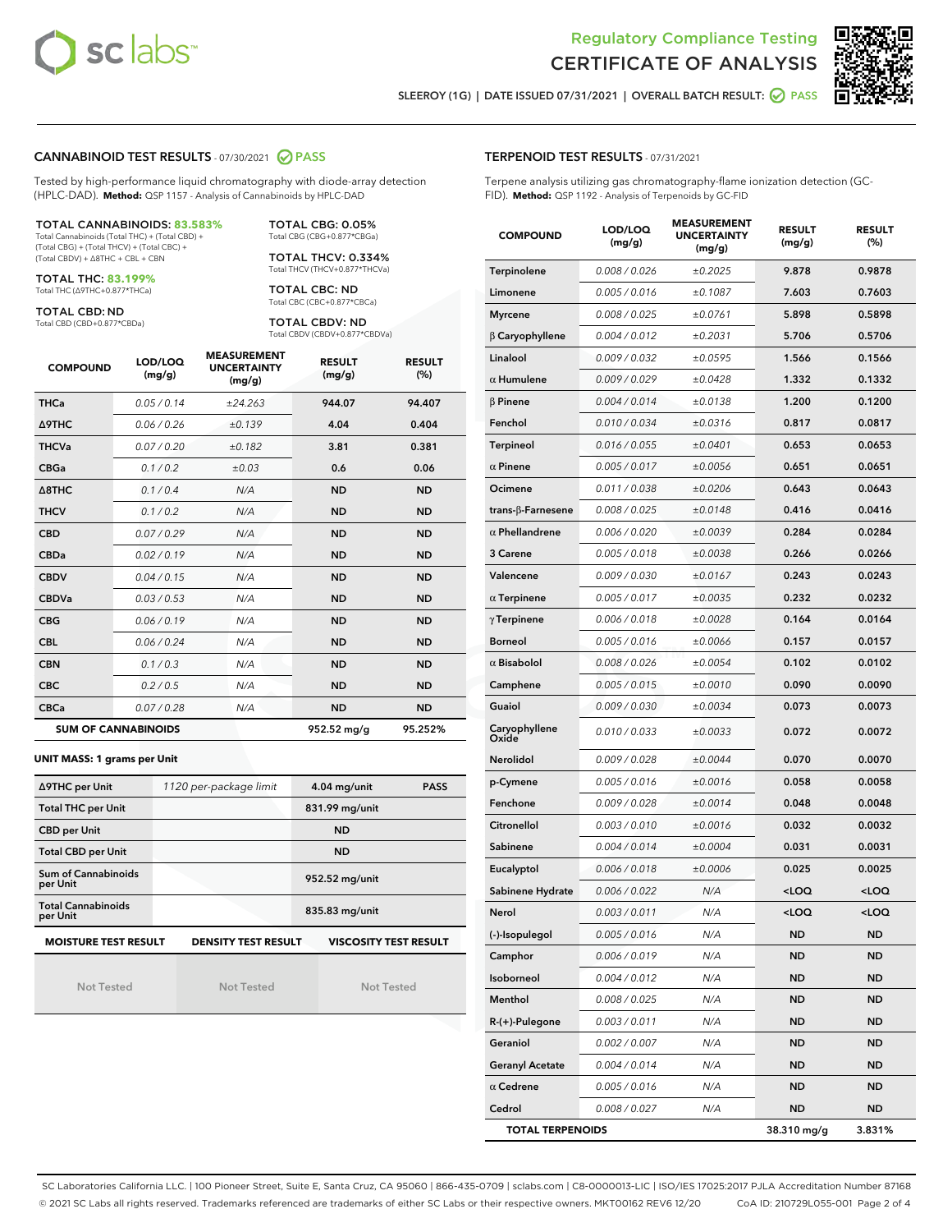



SLEEROY (1G) | DATE ISSUED 07/31/2021 | OVERALL BATCH RESULT: 0 PASS

#### CANNABINOID TEST RESULTS - 07/30/2021 2 PASS

Tested by high-performance liquid chromatography with diode-array detection (HPLC-DAD). **Method:** QSP 1157 - Analysis of Cannabinoids by HPLC-DAD

#### TOTAL CANNABINOIDS: **83.583%**

Total Cannabinoids (Total THC) + (Total CBD) + (Total CBG) + (Total THCV) + (Total CBC) + (Total CBDV) + ∆8THC + CBL + CBN

TOTAL THC: **83.199%** Total THC (∆9THC+0.877\*THCa)

TOTAL CBD: ND

Total CBD (CBD+0.877\*CBDa)

TOTAL CBG: 0.05% Total CBG (CBG+0.877\*CBGa)

TOTAL THCV: 0.334% Total THCV (THCV+0.877\*THCVa)

TOTAL CBC: ND Total CBC (CBC+0.877\*CBCa)

TOTAL CBDV: ND Total CBDV (CBDV+0.877\*CBDVa)

| <b>COMPOUND</b>  | LOD/LOQ<br>(mg/g)          | <b>MEASUREMENT</b><br><b>UNCERTAINTY</b><br>(mg/g) | <b>RESULT</b><br>(mg/g) | <b>RESULT</b><br>(%) |
|------------------|----------------------------|----------------------------------------------------|-------------------------|----------------------|
| <b>THCa</b>      | 0.05/0.14                  | ±24.263                                            | 944.07                  | 94.407               |
| <b>A9THC</b>     | 0.06 / 0.26                | ±0.139                                             | 4.04                    | 0.404                |
| <b>THCVa</b>     | 0.07/0.20                  | ±0.182                                             | 3.81                    | 0.381                |
| <b>CBGa</b>      | 0.1/0.2                    | ±0.03                                              | 0.6                     | 0.06                 |
| $\triangle$ 8THC | 0.1/0.4                    | N/A                                                | <b>ND</b>               | <b>ND</b>            |
| <b>THCV</b>      | 0.1/0.2                    | N/A                                                | <b>ND</b>               | <b>ND</b>            |
| <b>CBD</b>       | 0.07/0.29                  | N/A                                                | <b>ND</b>               | <b>ND</b>            |
| <b>CBDa</b>      | 0.02/0.19                  | N/A                                                | <b>ND</b>               | <b>ND</b>            |
| <b>CBDV</b>      | 0.04 / 0.15                | N/A                                                | <b>ND</b>               | <b>ND</b>            |
| <b>CBDVa</b>     | 0.03/0.53                  | N/A                                                | <b>ND</b>               | <b>ND</b>            |
| <b>CBG</b>       | 0.06/0.19                  | N/A                                                | <b>ND</b>               | <b>ND</b>            |
| <b>CBL</b>       | 0.06 / 0.24                | N/A                                                | <b>ND</b>               | <b>ND</b>            |
| <b>CBN</b>       | 0.1/0.3                    | N/A                                                | <b>ND</b>               | <b>ND</b>            |
| <b>CBC</b>       | 0.2 / 0.5                  | N/A                                                | <b>ND</b>               | <b>ND</b>            |
| <b>CBCa</b>      | 0.07/0.28                  | N/A                                                | <b>ND</b>               | <b>ND</b>            |
|                  | <b>SUM OF CANNABINOIDS</b> |                                                    | 952.52 mg/g             | 95.252%              |

#### **UNIT MASS: 1 grams per Unit**

| ∆9THC per Unit                                                                            | 1120 per-package limit | <b>PASS</b><br>$4.04$ mg/unit |  |  |  |
|-------------------------------------------------------------------------------------------|------------------------|-------------------------------|--|--|--|
| <b>Total THC per Unit</b>                                                                 |                        | 831.99 mg/unit                |  |  |  |
| <b>CBD per Unit</b>                                                                       |                        | <b>ND</b>                     |  |  |  |
| <b>Total CBD per Unit</b>                                                                 |                        | <b>ND</b>                     |  |  |  |
| Sum of Cannabinoids<br>per Unit                                                           |                        | 952.52 mg/unit                |  |  |  |
| <b>Total Cannabinoids</b><br>per Unit                                                     |                        | 835.83 mg/unit                |  |  |  |
| <b>MOISTURE TEST RESULT</b><br><b>VISCOSITY TEST RESULT</b><br><b>DENSITY TEST RESULT</b> |                        |                               |  |  |  |

Not Tested

Not Tested

Not Tested

## TERPENOID TEST RESULTS - 07/31/2021

Terpene analysis utilizing gas chromatography-flame ionization detection (GC-FID). **Method:** QSP 1192 - Analysis of Terpenoids by GC-FID

| <b>COMPOUND</b>         | LOD/LOQ<br>(mg/g)    | <b>MEASUREMENT</b><br><b>UNCERTAINTY</b><br>(mg/g) | <b>RESULT</b><br>(mg/g)                         | <b>RESULT</b><br>$(\%)$ |
|-------------------------|----------------------|----------------------------------------------------|-------------------------------------------------|-------------------------|
| Terpinolene             | 0.008 / 0.026        | ±0.2025                                            | 9.878                                           | 0.9878                  |
| Limonene                | 0.005 / 0.016        | ±0.1087                                            | 7.603                                           | 0.7603                  |
| <b>Myrcene</b>          | 0.008 / 0.025        | ±0.0761                                            | 5.898                                           | 0.5898                  |
| $\beta$ Caryophyllene   | 0.004 / 0.012        | ±0.2031                                            | 5.706                                           | 0.5706                  |
| Linalool                | 0.009 / 0.032        | ±0.0595                                            | 1.566                                           | 0.1566                  |
| $\alpha$ Humulene       | 0.009 / 0.029        | ±0.0428                                            | 1.332                                           | 0.1332                  |
| $\beta$ Pinene          | 0.004 / 0.014        | ±0.0138                                            | 1.200                                           | 0.1200                  |
| Fenchol                 | 0.010 / 0.034        | ±0.0316                                            | 0.817                                           | 0.0817                  |
| Terpineol               | 0.016 / 0.055        | ±0.0401                                            | 0.653                                           | 0.0653                  |
| $\alpha$ Pinene         | 0.005 / 0.017        | ±0.0056                                            | 0.651                                           | 0.0651                  |
| Ocimene                 | 0.011/0.038          | ±0.0206                                            | 0.643                                           | 0.0643                  |
| trans-β-Farnesene       | 0.008 / 0.025        | ±0.0148                                            | 0.416                                           | 0.0416                  |
| $\alpha$ Phellandrene   | 0.006 / 0.020        | ±0.0039                                            | 0.284                                           | 0.0284                  |
| 3 Carene                | 0.005 / 0.018        | ±0.0038                                            | 0.266                                           | 0.0266                  |
| Valencene               | 0.009 / 0.030        | ±0.0167                                            | 0.243                                           | 0.0243                  |
| $\alpha$ Terpinene      | 0.005 / 0.017        | ±0.0035                                            | 0.232                                           | 0.0232                  |
| $\gamma$ Terpinene      | 0.006 / 0.018        | ±0.0028                                            | 0.164                                           | 0.0164                  |
| <b>Borneol</b>          | 0.005 / 0.016        | ±0.0066                                            | 0.157                                           | 0.0157                  |
| $\alpha$ Bisabolol      | 0.008 / 0.026        | ±0.0054                                            | 0.102                                           | 0.0102                  |
| Camphene                | 0.005 / 0.015        | ±0.0010                                            | 0.090                                           | 0.0090                  |
| Guaiol                  | <i>0.009 / 0.030</i> | ±0.0034                                            | 0.073                                           | 0.0073                  |
| Caryophyllene<br>Oxide  | 0.010 / 0.033        | ±0.0033                                            | 0.072                                           | 0.0072                  |
| <b>Nerolidol</b>        | 0.009 / 0.028        | ±0.0044                                            | 0.070                                           | 0.0070                  |
| p-Cymene                | 0.005 / 0.016        | ±0.0016                                            | 0.058                                           | 0.0058                  |
| Fenchone                | 0.009 / 0.028        | ±0.0014                                            | 0.048                                           | 0.0048                  |
| Citronellol             | 0.003 / 0.010        | ±0.0016                                            | 0.032                                           | 0.0032                  |
| Sabinene                | 0.004 / 0.014        | ±0.0004                                            | 0.031                                           | 0.0031                  |
| Eucalyptol              | 0.006 / 0.018        | ±0.0006                                            | 0.025                                           | 0.0025                  |
| Sabinene Hydrate        | 0.006 / 0.022        | N/A                                                | <loq< th=""><th><loq< th=""></loq<></th></loq<> | <loq< th=""></loq<>     |
| Nerol                   | 0.003 / 0.011        | N/A                                                | <loq< th=""><th><loq< th=""></loq<></th></loq<> | <loq< th=""></loq<>     |
| (-)-Isopulegol          | 0.005 / 0.016        | N/A                                                | ND                                              | ND                      |
| Camphor                 | 0.006 / 0.019        | N/A                                                | ND                                              | ND                      |
| Isoborneol              | 0.004 / 0.012        | N/A                                                | ND                                              | ND                      |
| Menthol                 | 0.008 / 0.025        | N/A                                                | ND                                              | ND                      |
| R-(+)-Pulegone          | 0.003 / 0.011        | N/A                                                | ND                                              | ND                      |
| Geraniol                | 0.002 / 0.007        | N/A                                                | ND                                              | ND                      |
| <b>Geranyl Acetate</b>  | 0.004 / 0.014        | N/A                                                | ND                                              | ND                      |
| $\alpha$ Cedrene        | 0.005 / 0.016        | N/A                                                | ND                                              | ND                      |
| Cedrol                  | 0.008 / 0.027        | N/A                                                | ND                                              | ND                      |
| <b>TOTAL TERPENOIDS</b> |                      |                                                    | 38.310 mg/g                                     | 3.831%                  |

SC Laboratories California LLC. | 100 Pioneer Street, Suite E, Santa Cruz, CA 95060 | 866-435-0709 | sclabs.com | C8-0000013-LIC | ISO/IES 17025:2017 PJLA Accreditation Number 87168 © 2021 SC Labs all rights reserved. Trademarks referenced are trademarks of either SC Labs or their respective owners. MKT00162 REV6 12/20 CoA ID: 210729L055-001 Page 2 of 4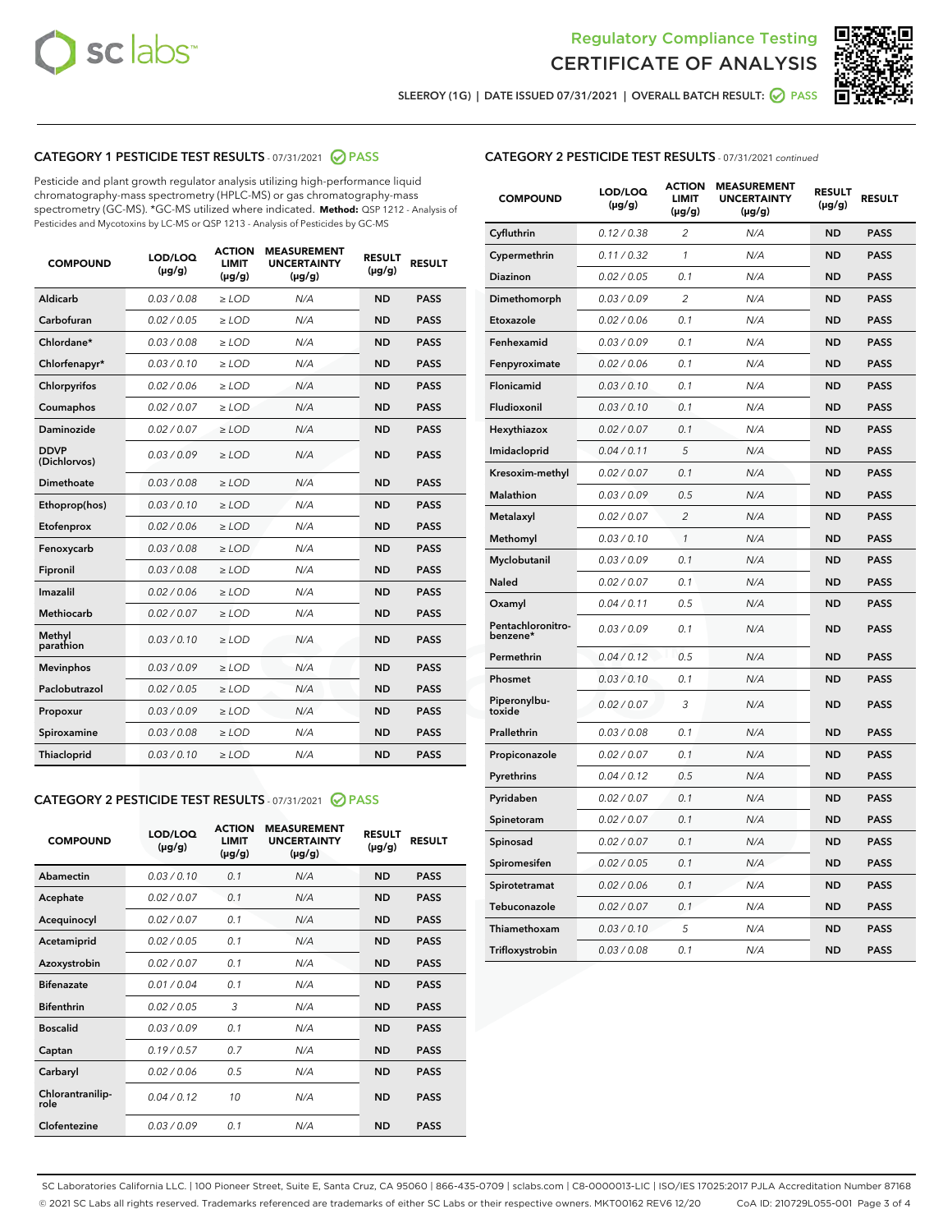



SLEEROY (1G) | DATE ISSUED 07/31/2021 | OVERALL BATCH RESULT: O PASS

## CATEGORY 1 PESTICIDE TEST RESULTS - 07/31/2021 2 PASS

Pesticide and plant growth regulator analysis utilizing high-performance liquid chromatography-mass spectrometry (HPLC-MS) or gas chromatography-mass spectrometry (GC-MS). \*GC-MS utilized where indicated. **Method:** QSP 1212 - Analysis of Pesticides and Mycotoxins by LC-MS or QSP 1213 - Analysis of Pesticides by GC-MS

| <b>COMPOUND</b>             | LOD/LOQ<br>$(\mu g/g)$ | <b>ACTION</b><br><b>LIMIT</b><br>$(\mu g/g)$ | <b>MEASUREMENT</b><br><b>UNCERTAINTY</b><br>$(\mu g/g)$ | <b>RESULT</b><br>$(\mu g/g)$ | <b>RESULT</b> |
|-----------------------------|------------------------|----------------------------------------------|---------------------------------------------------------|------------------------------|---------------|
| Aldicarb                    | 0.03 / 0.08            | $\ge$ LOD                                    | N/A                                                     | <b>ND</b>                    | <b>PASS</b>   |
| Carbofuran                  | 0.02 / 0.05            | $\geq$ LOD                                   | N/A                                                     | <b>ND</b>                    | <b>PASS</b>   |
| Chlordane*                  | 0.03 / 0.08            | $\ge$ LOD                                    | N/A                                                     | <b>ND</b>                    | <b>PASS</b>   |
| Chlorfenapyr*               | 0.03/0.10              | $\ge$ LOD                                    | N/A                                                     | <b>ND</b>                    | <b>PASS</b>   |
| Chlorpyrifos                | 0.02 / 0.06            | $\ge$ LOD                                    | N/A                                                     | <b>ND</b>                    | <b>PASS</b>   |
| Coumaphos                   | 0.02 / 0.07            | $\ge$ LOD                                    | N/A                                                     | <b>ND</b>                    | <b>PASS</b>   |
| Daminozide                  | 0.02 / 0.07            | $\ge$ LOD                                    | N/A                                                     | <b>ND</b>                    | <b>PASS</b>   |
| <b>DDVP</b><br>(Dichlorvos) | 0.03/0.09              | $\ge$ LOD                                    | N/A                                                     | <b>ND</b>                    | <b>PASS</b>   |
| Dimethoate                  | 0.03 / 0.08            | $>$ LOD                                      | N/A                                                     | <b>ND</b>                    | <b>PASS</b>   |
| Ethoprop(hos)               | 0.03/0.10              | $\ge$ LOD                                    | N/A                                                     | <b>ND</b>                    | <b>PASS</b>   |
| Etofenprox                  | 0.02/0.06              | $>$ LOD                                      | N/A                                                     | <b>ND</b>                    | <b>PASS</b>   |
| Fenoxycarb                  | 0.03 / 0.08            | $\geq$ LOD                                   | N/A                                                     | <b>ND</b>                    | <b>PASS</b>   |
| Fipronil                    | 0.03 / 0.08            | $>$ LOD                                      | N/A                                                     | <b>ND</b>                    | <b>PASS</b>   |
| Imazalil                    | 0.02 / 0.06            | $\ge$ LOD                                    | N/A                                                     | <b>ND</b>                    | <b>PASS</b>   |
| <b>Methiocarb</b>           | 0.02 / 0.07            | $\ge$ LOD                                    | N/A                                                     | <b>ND</b>                    | <b>PASS</b>   |
| Methyl<br>parathion         | 0.03/0.10              | $\ge$ LOD                                    | N/A                                                     | <b>ND</b>                    | <b>PASS</b>   |
| <b>Mevinphos</b>            | 0.03/0.09              | $\ge$ LOD                                    | N/A                                                     | <b>ND</b>                    | <b>PASS</b>   |
| Paclobutrazol               | 0.02 / 0.05            | $\ge$ LOD                                    | N/A                                                     | <b>ND</b>                    | <b>PASS</b>   |
| Propoxur                    | 0.03/0.09              | $\ge$ LOD                                    | N/A                                                     | <b>ND</b>                    | <b>PASS</b>   |
| Spiroxamine                 | 0.03 / 0.08            | $\ge$ LOD                                    | N/A                                                     | <b>ND</b>                    | <b>PASS</b>   |
| <b>Thiacloprid</b>          | 0.03/0.10              | $\ge$ LOD                                    | N/A                                                     | <b>ND</b>                    | <b>PASS</b>   |

#### CATEGORY 2 PESTICIDE TEST RESULTS - 07/31/2021 @ PASS

| <b>COMPOUND</b>          | LOD/LOO<br>$(\mu g/g)$ | <b>ACTION</b><br>LIMIT<br>$(\mu g/g)$ | <b>MEASUREMENT</b><br><b>UNCERTAINTY</b><br>$(\mu g/g)$ | <b>RESULT</b><br>$(\mu g/g)$ | <b>RESULT</b> |  |
|--------------------------|------------------------|---------------------------------------|---------------------------------------------------------|------------------------------|---------------|--|
| Abamectin                | 0.03/0.10              | 0.1                                   | N/A                                                     | <b>ND</b>                    | <b>PASS</b>   |  |
| Acephate                 | 0.02/0.07              | 0.1                                   | N/A                                                     | <b>ND</b>                    | <b>PASS</b>   |  |
| Acequinocyl              | 0.02/0.07              | 0.1                                   | N/A                                                     | <b>ND</b>                    | <b>PASS</b>   |  |
| Acetamiprid              | 0.02 / 0.05            | 0.1                                   | N/A                                                     | <b>ND</b>                    | <b>PASS</b>   |  |
| Azoxystrobin             | 0.02/0.07              | 0.1                                   | N/A                                                     | <b>ND</b>                    | <b>PASS</b>   |  |
| <b>Bifenazate</b>        | 0.01 / 0.04            | 0.1                                   | N/A                                                     | <b>ND</b>                    | <b>PASS</b>   |  |
| <b>Bifenthrin</b>        | 0.02/0.05              | 3                                     | N/A                                                     | <b>ND</b>                    | <b>PASS</b>   |  |
| <b>Boscalid</b>          | 0.03/0.09              | 0.1                                   | N/A                                                     | <b>ND</b>                    | <b>PASS</b>   |  |
| Captan                   | 0.19/0.57              | 0.7                                   | N/A                                                     | <b>ND</b>                    | <b>PASS</b>   |  |
| Carbaryl                 | 0.02/0.06              | 0.5                                   | N/A                                                     | <b>ND</b>                    | <b>PASS</b>   |  |
| Chlorantranilip-<br>role | 0.04/0.12              | 10                                    | N/A                                                     | <b>ND</b>                    | <b>PASS</b>   |  |
| Clofentezine             | 0.03/0.09              | 0.1                                   | N/A                                                     | <b>ND</b>                    | <b>PASS</b>   |  |

|  | <b>CATEGORY 2 PESTICIDE TEST RESULTS</b> - 07/31/2021 continued |
|--|-----------------------------------------------------------------|
|  |                                                                 |

| <b>COMPOUND</b>               | LOD/LOQ<br>(µg/g) | <b>ACTION</b><br>LIMIT<br>$(\mu g/g)$ | <b>MEASUREMENT</b><br><b>UNCERTAINTY</b><br>$(\mu g/g)$ | <b>RESULT</b><br>(µg/g) | <b>RESULT</b> |
|-------------------------------|-------------------|---------------------------------------|---------------------------------------------------------|-------------------------|---------------|
| Cyfluthrin                    | 0.12 / 0.38       | 2                                     | N/A                                                     | ND                      | <b>PASS</b>   |
| Cypermethrin                  | 0.11 / 0.32       | 1                                     | N/A                                                     | ND                      | <b>PASS</b>   |
| Diazinon                      | 0.02 / 0.05       | 0.1                                   | N/A                                                     | ND                      | <b>PASS</b>   |
| Dimethomorph                  | 0.03 / 0.09       | 2                                     | N/A                                                     | ND                      | <b>PASS</b>   |
| Etoxazole                     | 0.02 / 0.06       | 0.1                                   | N/A                                                     | ND                      | <b>PASS</b>   |
| Fenhexamid                    | 0.03 / 0.09       | 0.1                                   | N/A                                                     | ND                      | <b>PASS</b>   |
| Fenpyroximate                 | 0.02 / 0.06       | 0.1                                   | N/A                                                     | <b>ND</b>               | <b>PASS</b>   |
| Flonicamid                    | 0.03 / 0.10       | 0.1                                   | N/A                                                     | <b>ND</b>               | <b>PASS</b>   |
| Fludioxonil                   | 0.03 / 0.10       | 0.1                                   | N/A                                                     | ND                      | <b>PASS</b>   |
| Hexythiazox                   | 0.02 / 0.07       | 0.1                                   | N/A                                                     | <b>ND</b>               | <b>PASS</b>   |
| Imidacloprid                  | 0.04 / 0.11       | 5                                     | N/A                                                     | <b>ND</b>               | <b>PASS</b>   |
| Kresoxim-methyl               | 0.02 / 0.07       | 0.1                                   | N/A                                                     | ND                      | <b>PASS</b>   |
| Malathion                     | 0.03 / 0.09       | 0.5                                   | N/A                                                     | <b>ND</b>               | <b>PASS</b>   |
| Metalaxyl                     | 0.02 / 0.07       | $\overline{c}$                        | N/A                                                     | <b>ND</b>               | <b>PASS</b>   |
| Methomyl                      | 0.03 / 0.10       | $\mathcal{I}$                         | N/A                                                     | <b>ND</b>               | <b>PASS</b>   |
| Myclobutanil                  | 0.03/0.09         | 0.1                                   | N/A                                                     | <b>ND</b>               | <b>PASS</b>   |
| <b>Naled</b>                  | 0.02 / 0.07       | 0.1                                   | N/A                                                     | ND                      | <b>PASS</b>   |
| Oxamyl                        | 0.04 / 0.11       | 0.5                                   | N/A                                                     | ND                      | <b>PASS</b>   |
| Pentachloronitro-<br>benzene* | 0.03/0.09         | 0.1                                   | N/A                                                     | ND                      | <b>PASS</b>   |
| Permethrin                    | 0.04 / 0.12       | 0.5                                   | N/A                                                     | ND                      | <b>PASS</b>   |
| Phosmet                       | 0.03 / 0.10       | 0.1                                   | N/A                                                     | <b>ND</b>               | <b>PASS</b>   |
| Piperonylbu-<br>toxide        | 0.02 / 0.07       | 3                                     | N/A                                                     | <b>ND</b>               | <b>PASS</b>   |
| Prallethrin                   | 0.03 / 0.08       | 0.1                                   | N/A                                                     | ND                      | <b>PASS</b>   |
| Propiconazole                 | 0.02 / 0.07       | 0.1                                   | N/A                                                     | <b>ND</b>               | <b>PASS</b>   |
| Pyrethrins                    | 0.04 / 0.12       | 0.5                                   | N/A                                                     | <b>ND</b>               | <b>PASS</b>   |
| Pyridaben                     | 0.02 / 0.07       | 0.1                                   | N/A                                                     | ND                      | <b>PASS</b>   |
| Spinetoram                    | 0.02 / 0.07       | 0.1                                   | N/A                                                     | ND                      | <b>PASS</b>   |
| Spinosad                      | 0.02 / 0.07       | 0.1                                   | N/A                                                     | ND                      | <b>PASS</b>   |
| Spiromesifen                  | 0.02 / 0.05       | 0.1                                   | N/A                                                     | ND                      | <b>PASS</b>   |
| Spirotetramat                 | 0.02 / 0.06       | 0.1                                   | N/A                                                     | ND                      | <b>PASS</b>   |
| Tebuconazole                  | 0.02 / 0.07       | 0.1                                   | N/A                                                     | <b>ND</b>               | <b>PASS</b>   |
| Thiamethoxam                  | 0.03 / 0.10       | 5                                     | N/A                                                     | ND                      | <b>PASS</b>   |
| Trifloxystrobin               | 0.03 / 0.08       | 0.1                                   | N/A                                                     | <b>ND</b>               | <b>PASS</b>   |

SC Laboratories California LLC. | 100 Pioneer Street, Suite E, Santa Cruz, CA 95060 | 866-435-0709 | sclabs.com | C8-0000013-LIC | ISO/IES 17025:2017 PJLA Accreditation Number 87168 © 2021 SC Labs all rights reserved. Trademarks referenced are trademarks of either SC Labs or their respective owners. MKT00162 REV6 12/20 CoA ID: 210729L055-001 Page 3 of 4